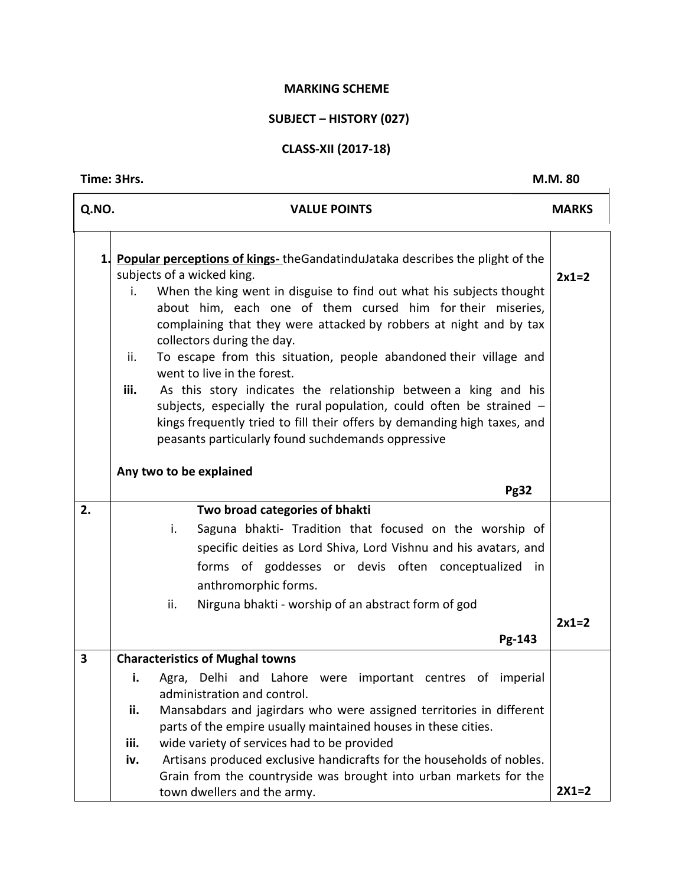#### **MARKING SCHEME**

# **SUBJECT – HISTORY (027)**

## **CLASS-XII (2017-18)**

#### **Time: 3Hrs.** M.M. 80

| Q.NO. | <b>VALUE POINTS</b>                                                                                                                                                                                                                                                                                                                                                                                                                                                                                                                                                                                                                                                                                                                                                   | <b>MARKS</b> |
|-------|-----------------------------------------------------------------------------------------------------------------------------------------------------------------------------------------------------------------------------------------------------------------------------------------------------------------------------------------------------------------------------------------------------------------------------------------------------------------------------------------------------------------------------------------------------------------------------------------------------------------------------------------------------------------------------------------------------------------------------------------------------------------------|--------------|
| 1.    | <b>Popular perceptions of kings-</b> the Gandatindulataka describes the plight of the<br>subjects of a wicked king.<br>When the king went in disguise to find out what his subjects thought<br>i.<br>about him, each one of them cursed him for their miseries,<br>complaining that they were attacked by robbers at night and by tax<br>collectors during the day.<br>To escape from this situation, people abandoned their village and<br>ii.<br>went to live in the forest.<br>As this story indicates the relationship between a king and his<br>iii.<br>subjects, especially the rural population, could often be strained $-$<br>kings frequently tried to fill their offers by demanding high taxes, and<br>peasants particularly found suchdemands oppressive | $2x1=2$      |
|       | Any two to be explained<br><b>Pg32</b>                                                                                                                                                                                                                                                                                                                                                                                                                                                                                                                                                                                                                                                                                                                                |              |
| 2.    | Two broad categories of bhakti<br>i.<br>Saguna bhakti- Tradition that focused on the worship of<br>specific deities as Lord Shiva, Lord Vishnu and his avatars, and<br>forms of goddesses or devis often conceptualized in<br>anthromorphic forms.<br>Nirguna bhakti - worship of an abstract form of god<br>ii.                                                                                                                                                                                                                                                                                                                                                                                                                                                      | $2x1=2$      |
|       | Pg-143                                                                                                                                                                                                                                                                                                                                                                                                                                                                                                                                                                                                                                                                                                                                                                |              |
| 3     | <b>Characteristics of Mughal towns</b>                                                                                                                                                                                                                                                                                                                                                                                                                                                                                                                                                                                                                                                                                                                                |              |
|       | Agra, Delhi and Lahore were important centres of imperial<br>i.<br>administration and control.<br>Mansabdars and jagirdars who were assigned territories in different<br>ii.                                                                                                                                                                                                                                                                                                                                                                                                                                                                                                                                                                                          |              |
|       | parts of the empire usually maintained houses in these cities.<br>iii.<br>wide variety of services had to be provided                                                                                                                                                                                                                                                                                                                                                                                                                                                                                                                                                                                                                                                 |              |
|       | Artisans produced exclusive handicrafts for the households of nobles.<br>iv.<br>Grain from the countryside was brought into urban markets for the                                                                                                                                                                                                                                                                                                                                                                                                                                                                                                                                                                                                                     |              |
|       | town dwellers and the army.                                                                                                                                                                                                                                                                                                                                                                                                                                                                                                                                                                                                                                                                                                                                           | $2X1=2$      |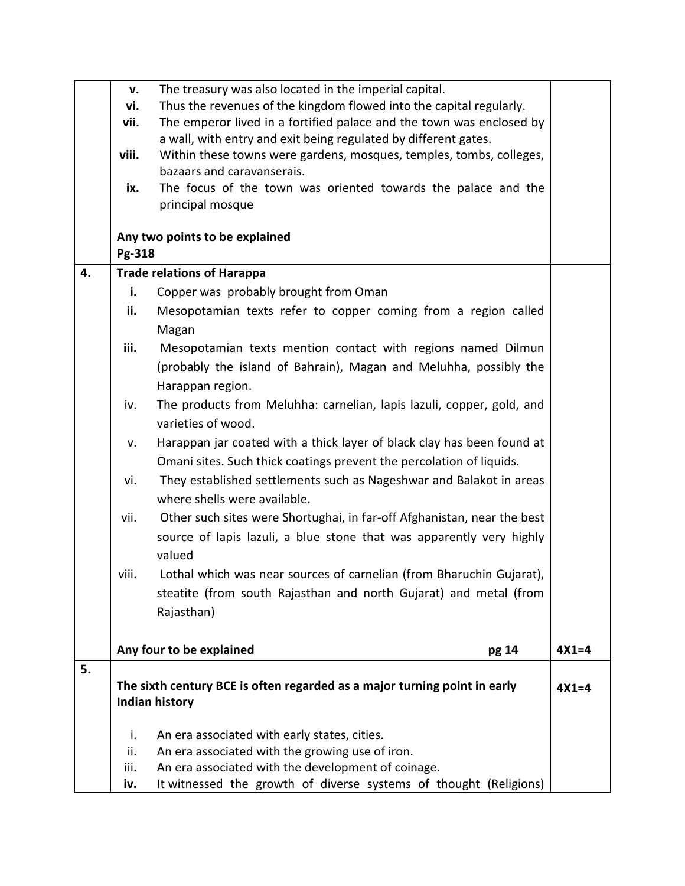|    | v.     | The treasury was also located in the imperial capital.                            |         |
|----|--------|-----------------------------------------------------------------------------------|---------|
|    | vi.    | Thus the revenues of the kingdom flowed into the capital regularly.               |         |
|    | vii.   | The emperor lived in a fortified palace and the town was enclosed by              |         |
|    |        | a wall, with entry and exit being regulated by different gates.                   |         |
|    | viii.  | Within these towns were gardens, mosques, temples, tombs, colleges,               |         |
|    |        | bazaars and caravanserais.                                                        |         |
|    | ix.    | The focus of the town was oriented towards the palace and the<br>principal mosque |         |
|    |        |                                                                                   |         |
|    |        | Any two points to be explained                                                    |         |
|    | Pg-318 |                                                                                   |         |
| 4. |        | <b>Trade relations of Harappa</b>                                                 |         |
|    | i.     | Copper was probably brought from Oman                                             |         |
|    | ii.    | Mesopotamian texts refer to copper coming from a region called                    |         |
|    |        | Magan                                                                             |         |
|    | iii.   | Mesopotamian texts mention contact with regions named Dilmun                      |         |
|    |        | (probably the island of Bahrain), Magan and Meluhha, possibly the                 |         |
|    |        | Harappan region.                                                                  |         |
|    | iv.    | The products from Meluhha: carnelian, lapis lazuli, copper, gold, and             |         |
|    |        | varieties of wood.                                                                |         |
|    | v.     | Harappan jar coated with a thick layer of black clay has been found at            |         |
|    |        | Omani sites. Such thick coatings prevent the percolation of liquids.              |         |
|    | vi.    | They established settlements such as Nageshwar and Balakot in areas               |         |
|    |        | where shells were available.                                                      |         |
|    | vii.   | Other such sites were Shortughai, in far-off Afghanistan, near the best           |         |
|    |        | source of lapis lazuli, a blue stone that was apparently very highly              |         |
|    |        | valued                                                                            |         |
|    | viii.  | Lothal which was near sources of carnelian (from Bharuchin Gujarat),              |         |
|    |        |                                                                                   |         |
|    |        | steatite (from south Rajasthan and north Gujarat) and metal (from                 |         |
|    |        | Rajasthan)                                                                        |         |
|    |        | Any four to be explained<br>pg 14                                                 | $4X1=4$ |
| 5. |        |                                                                                   |         |
|    |        | The sixth century BCE is often regarded as a major turning point in early         | $4X1=4$ |
|    |        | Indian history                                                                    |         |
|    |        |                                                                                   |         |
|    | i.     | An era associated with early states, cities.                                      |         |
|    | ii.    | An era associated with the growing use of iron.                                   |         |
|    | iii.   | An era associated with the development of coinage.                                |         |
|    | iv.    | It witnessed the growth of diverse systems of thought (Religions)                 |         |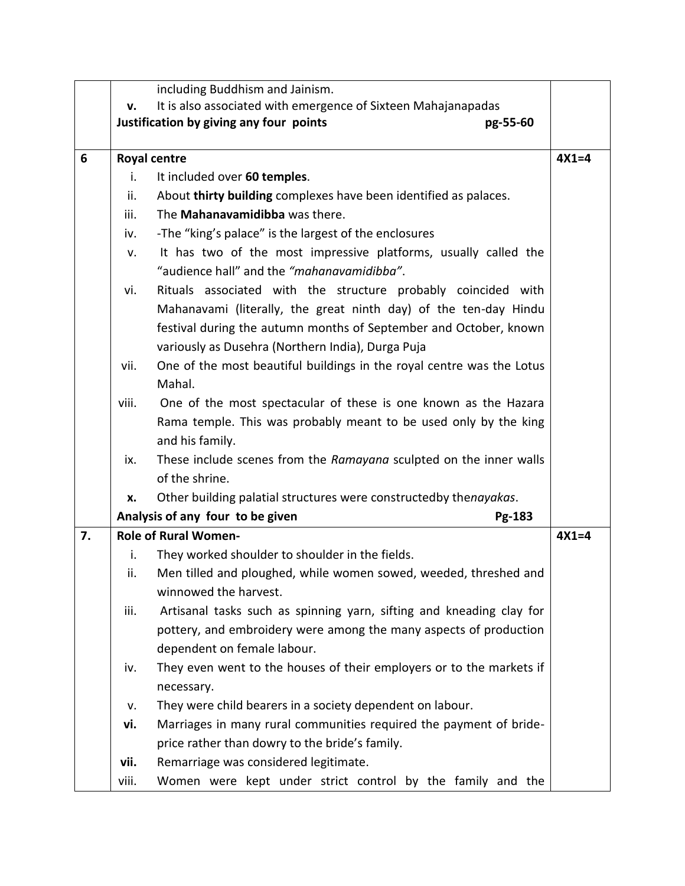|    |       | including Buddhism and Jainism.                                                           |         |
|----|-------|-------------------------------------------------------------------------------------------|---------|
|    | v.    | It is also associated with emergence of Sixteen Mahajanapadas                             |         |
|    |       | Justification by giving any four points<br>pg-55-60                                       |         |
|    |       |                                                                                           |         |
| 6  |       | <b>Royal centre</b>                                                                       | $4X1=4$ |
|    | i.    | It included over 60 temples.                                                              |         |
|    | ii.   | About thirty building complexes have been identified as palaces.                          |         |
|    | iii.  | The Mahanavamidibba was there.                                                            |         |
|    | iv.   | -The "king's palace" is the largest of the enclosures                                     |         |
|    | v.    | It has two of the most impressive platforms, usually called the                           |         |
|    |       | "audience hall" and the "mahanavamidibba".                                                |         |
|    | vi.   | Rituals associated with the structure probably coincided with                             |         |
|    |       | Mahanavami (literally, the great ninth day) of the ten-day Hindu                          |         |
|    |       | festival during the autumn months of September and October, known                         |         |
|    |       | variously as Dusehra (Northern India), Durga Puja                                         |         |
|    | vii.  | One of the most beautiful buildings in the royal centre was the Lotus                     |         |
|    |       | Mahal.                                                                                    |         |
|    | viii. | One of the most spectacular of these is one known as the Hazara                           |         |
|    |       | Rama temple. This was probably meant to be used only by the king                          |         |
|    |       | and his family.                                                                           |         |
|    | ix.   | These include scenes from the Ramayana sculpted on the inner walls                        |         |
|    |       | of the shrine.                                                                            |         |
|    | x.    | Other building palatial structures were constructedby thenayakas.                         |         |
|    |       | Analysis of any four to be given<br>Pg-183                                                |         |
| 7. |       | <b>Role of Rural Women-</b>                                                               | $4X1=4$ |
|    | i.    | They worked shoulder to shoulder in the fields.                                           |         |
|    | ii.   | Men tilled and ploughed, while women sowed, weeded, threshed and<br>winnowed the harvest. |         |
|    | iii.  | Artisanal tasks such as spinning yarn, sifting and kneading clay for                      |         |
|    |       | pottery, and embroidery were among the many aspects of production                         |         |
|    |       | dependent on female labour.                                                               |         |
|    | iv.   | They even went to the houses of their employers or to the markets if                      |         |
|    |       | necessary.                                                                                |         |
|    | v.    | They were child bearers in a society dependent on labour.                                 |         |
|    | vi.   | Marriages in many rural communities required the payment of bride-                        |         |
|    |       | price rather than dowry to the bride's family.                                            |         |
|    | vii.  | Remarriage was considered legitimate.                                                     |         |
|    | viii. | Women were kept under strict control by the family and the                                |         |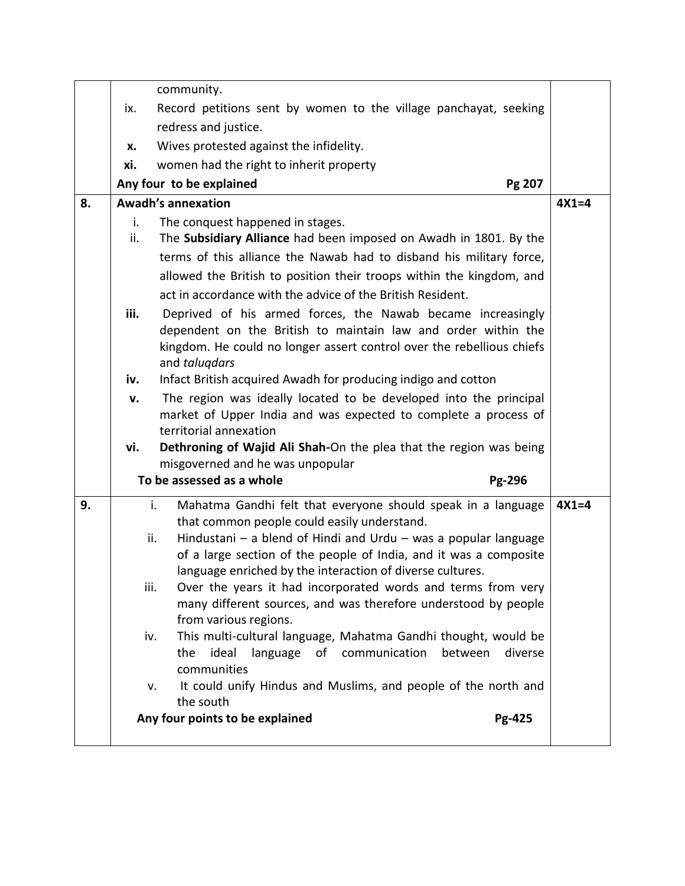|    |                                    | community.                                                                                                                                      |         |
|----|------------------------------------|-------------------------------------------------------------------------------------------------------------------------------------------------|---------|
|    | ix.                                | Record petitions sent by women to the village panchayat, seeking                                                                                |         |
|    |                                    | redress and justice.                                                                                                                            |         |
|    | x.                                 | Wives protested against the infidelity.                                                                                                         |         |
|    | xi.                                | women had the right to inherit property                                                                                                         |         |
|    | Any four to be explained<br>Pg 207 |                                                                                                                                                 |         |
| 8. | <b>Awadh's annexation</b>          |                                                                                                                                                 | $4X1=4$ |
|    | i.                                 | The conquest happened in stages.                                                                                                                |         |
|    | ii.                                | The Subsidiary Alliance had been imposed on Awadh in 1801. By the                                                                               |         |
|    |                                    | terms of this alliance the Nawab had to disband his military force,                                                                             |         |
|    |                                    | allowed the British to position their troops within the kingdom, and                                                                            |         |
|    |                                    | act in accordance with the advice of the British Resident.                                                                                      |         |
|    | iii.                               | Deprived of his armed forces, the Nawab became increasingly                                                                                     |         |
|    |                                    | dependent on the British to maintain law and order within the                                                                                   |         |
|    |                                    | kingdom. He could no longer assert control over the rebellious chiefs<br>and talugdars                                                          |         |
|    | iv.                                | Infact British acquired Awadh for producing indigo and cotton                                                                                   |         |
|    | v.                                 | The region was ideally located to be developed into the principal                                                                               |         |
|    |                                    | market of Upper India and was expected to complete a process of                                                                                 |         |
|    |                                    | territorial annexation                                                                                                                          |         |
|    | vi.                                | Dethroning of Wajid Ali Shah-On the plea that the region was being                                                                              |         |
|    |                                    | misgoverned and he was unpopular                                                                                                                |         |
|    |                                    | To be assessed as a whole<br>Pg-296                                                                                                             |         |
| 9. |                                    | i.<br>Mahatma Gandhi felt that everyone should speak in a language                                                                              | $4X1=4$ |
|    |                                    | that common people could easily understand.                                                                                                     |         |
|    |                                    | Hindustani $-$ a blend of Hindi and Urdu $-$ was a popular language<br>ii.<br>of a large section of the people of India, and it was a composite |         |
|    |                                    | language enriched by the interaction of diverse cultures.                                                                                       |         |
|    |                                    | Over the years it had incorporated words and terms from very<br>iii.                                                                            |         |
|    |                                    | many different sources, and was therefore understood by people                                                                                  |         |
|    |                                    | from various regions.                                                                                                                           |         |
|    |                                    | This multi-cultural language, Mahatma Gandhi thought, would be<br>iv.                                                                           |         |
|    |                                    | ideal<br>of communication<br>the<br>language<br>between<br>diverse                                                                              |         |
|    |                                    | communities                                                                                                                                     |         |
|    |                                    | It could unify Hindus and Muslims, and people of the north and<br>v.<br>the south                                                               |         |
|    |                                    | Any four points to be explained<br>Pg-425                                                                                                       |         |
|    |                                    |                                                                                                                                                 |         |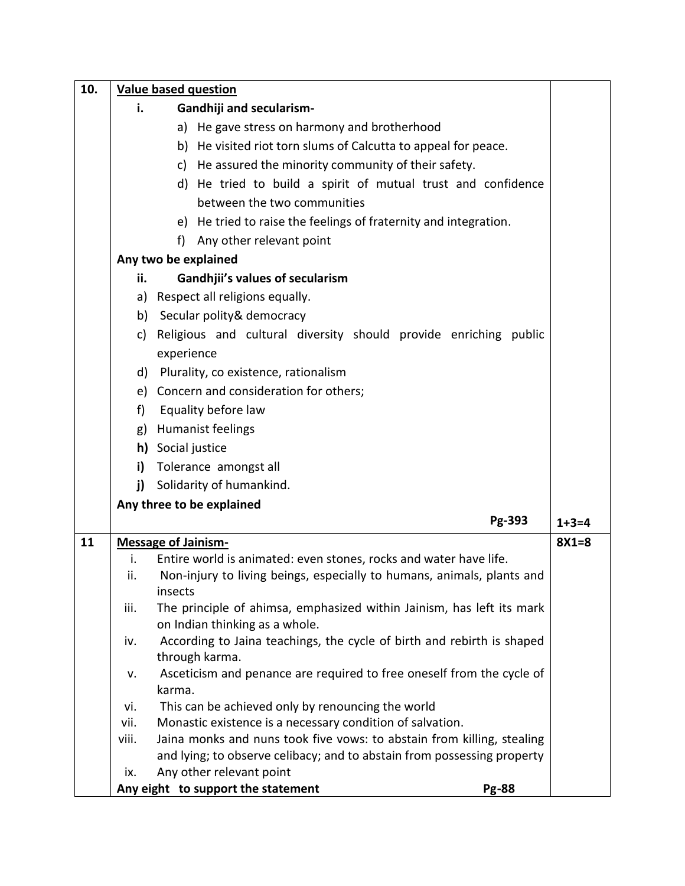| 10. | <b>Value based question</b> |                                                                                                                                                                                                                                                                                                                                                                                                           |         |  |  |
|-----|-----------------------------|-----------------------------------------------------------------------------------------------------------------------------------------------------------------------------------------------------------------------------------------------------------------------------------------------------------------------------------------------------------------------------------------------------------|---------|--|--|
|     | i.                          | <b>Gandhiji and secularism-</b>                                                                                                                                                                                                                                                                                                                                                                           |         |  |  |
|     |                             | a) He gave stress on harmony and brotherhood                                                                                                                                                                                                                                                                                                                                                              |         |  |  |
|     |                             | b) He visited riot torn slums of Calcutta to appeal for peace.                                                                                                                                                                                                                                                                                                                                            |         |  |  |
|     |                             | c) He assured the minority community of their safety.                                                                                                                                                                                                                                                                                                                                                     |         |  |  |
|     |                             | d) He tried to build a spirit of mutual trust and confidence                                                                                                                                                                                                                                                                                                                                              |         |  |  |
|     |                             | between the two communities                                                                                                                                                                                                                                                                                                                                                                               |         |  |  |
|     |                             | e) He tried to raise the feelings of fraternity and integration.                                                                                                                                                                                                                                                                                                                                          |         |  |  |
|     |                             | Any other relevant point<br>f)                                                                                                                                                                                                                                                                                                                                                                            |         |  |  |
|     |                             | Any two be explained                                                                                                                                                                                                                                                                                                                                                                                      |         |  |  |
|     | ii.                         | <b>Gandhjii's values of secularism</b>                                                                                                                                                                                                                                                                                                                                                                    |         |  |  |
|     |                             | a) Respect all religions equally.                                                                                                                                                                                                                                                                                                                                                                         |         |  |  |
|     |                             | b) Secular polity & democracy                                                                                                                                                                                                                                                                                                                                                                             |         |  |  |
|     |                             | c) Religious and cultural diversity should provide enriching public                                                                                                                                                                                                                                                                                                                                       |         |  |  |
|     |                             | experience                                                                                                                                                                                                                                                                                                                                                                                                |         |  |  |
|     |                             |                                                                                                                                                                                                                                                                                                                                                                                                           |         |  |  |
|     |                             |                                                                                                                                                                                                                                                                                                                                                                                                           |         |  |  |
|     |                             |                                                                                                                                                                                                                                                                                                                                                                                                           |         |  |  |
|     |                             |                                                                                                                                                                                                                                                                                                                                                                                                           |         |  |  |
|     |                             |                                                                                                                                                                                                                                                                                                                                                                                                           |         |  |  |
|     |                             |                                                                                                                                                                                                                                                                                                                                                                                                           |         |  |  |
|     | i)                          |                                                                                                                                                                                                                                                                                                                                                                                                           |         |  |  |
|     |                             |                                                                                                                                                                                                                                                                                                                                                                                                           |         |  |  |
|     |                             | Pg-393                                                                                                                                                                                                                                                                                                                                                                                                    | $1+3=4$ |  |  |
| 11  |                             | <b>Message of Jainism-</b>                                                                                                                                                                                                                                                                                                                                                                                | $8X1=8$ |  |  |
|     | i.                          | Entire world is animated: even stones, rocks and water have life.                                                                                                                                                                                                                                                                                                                                         |         |  |  |
|     | ii.                         | Non-injury to living beings, especially to humans, animals, plants and<br>insects                                                                                                                                                                                                                                                                                                                         |         |  |  |
|     | iii.                        | The principle of ahimsa, emphasized within Jainism, has left its mark<br>on Indian thinking as a whole.                                                                                                                                                                                                                                                                                                   |         |  |  |
|     | iv.                         | According to Jaina teachings, the cycle of birth and rebirth is shaped<br>through karma.                                                                                                                                                                                                                                                                                                                  |         |  |  |
|     | v.                          | Asceticism and penance are required to free oneself from the cycle of<br>karma.                                                                                                                                                                                                                                                                                                                           |         |  |  |
|     | vi.                         | This can be achieved only by renouncing the world                                                                                                                                                                                                                                                                                                                                                         |         |  |  |
|     | vii.                        | Monastic existence is a necessary condition of salvation.                                                                                                                                                                                                                                                                                                                                                 |         |  |  |
|     | viii.                       | Jaina monks and nuns took five vows: to abstain from killing, stealing                                                                                                                                                                                                                                                                                                                                    |         |  |  |
|     |                             |                                                                                                                                                                                                                                                                                                                                                                                                           |         |  |  |
|     |                             |                                                                                                                                                                                                                                                                                                                                                                                                           |         |  |  |
|     | f)<br>ix.                   | d) Plurality, co existence, rationalism<br>e) Concern and consideration for others;<br>Equality before law<br>g) Humanist feelings<br>h) Social justice<br>i) Tolerance amongst all<br>Solidarity of humankind.<br>Any three to be explained<br>and lying; to observe celibacy; and to abstain from possessing property<br>Any other relevant point<br>Any eight to support the statement<br><b>Pg-88</b> |         |  |  |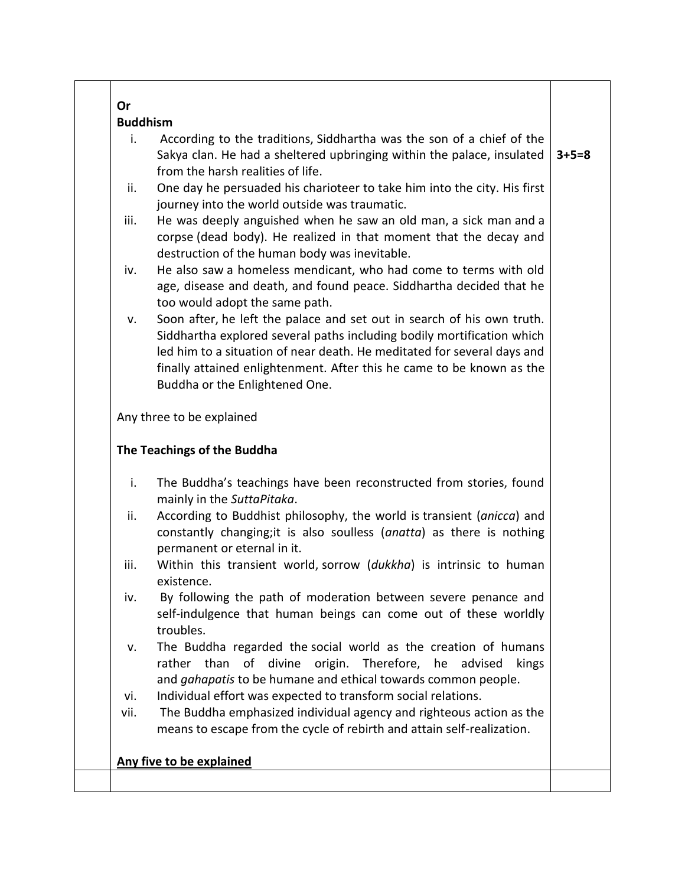| i.   | According to the traditions, Siddhartha was the son of a chief of the                                                                                                                                                                                                                                |             |
|------|------------------------------------------------------------------------------------------------------------------------------------------------------------------------------------------------------------------------------------------------------------------------------------------------------|-------------|
|      | Sakya clan. He had a sheltered upbringing within the palace, insulated<br>from the harsh realities of life.                                                                                                                                                                                          | $3 + 5 = 8$ |
| ii.  | One day he persuaded his charioteer to take him into the city. His first<br>journey into the world outside was traumatic.                                                                                                                                                                            |             |
| iii. | He was deeply anguished when he saw an old man, a sick man and a<br>corpse (dead body). He realized in that moment that the decay and<br>destruction of the human body was inevitable.                                                                                                               |             |
| iv.  | He also saw a homeless mendicant, who had come to terms with old<br>age, disease and death, and found peace. Siddhartha decided that he<br>too would adopt the same path.                                                                                                                            |             |
| v.   | Soon after, he left the palace and set out in search of his own truth.<br>Siddhartha explored several paths including bodily mortification which<br>led him to a situation of near death. He meditated for several days and<br>finally attained enlightenment. After this he came to be known as the |             |
|      | Buddha or the Enlightened One.                                                                                                                                                                                                                                                                       |             |
|      | Any three to be explained                                                                                                                                                                                                                                                                            |             |
|      | The Teachings of the Buddha                                                                                                                                                                                                                                                                          |             |
| i.   | The Buddha's teachings have been reconstructed from stories, found<br>mainly in the SuttaPitaka.                                                                                                                                                                                                     |             |
| ii.  | According to Buddhist philosophy, the world is transient (anicca) and<br>constantly changing; it is also soulless (anatta) as there is nothing                                                                                                                                                       |             |
| iii. | permanent or eternal in it.<br>Within this transient world, sorrow (dukkha) is intrinsic to human<br>existence.                                                                                                                                                                                      |             |
| iv.  | By following the path of moderation between severe penance and<br>self-indulgence that human beings can come out of these worldly<br>troubles.                                                                                                                                                       |             |
| ٧.   | The Buddha regarded the social world as the creation of humans<br>rather than of divine origin. Therefore, he advised<br>kings                                                                                                                                                                       |             |
| vi.  | and gahapatis to be humane and ethical towards common people.<br>Individual effort was expected to transform social relations.                                                                                                                                                                       |             |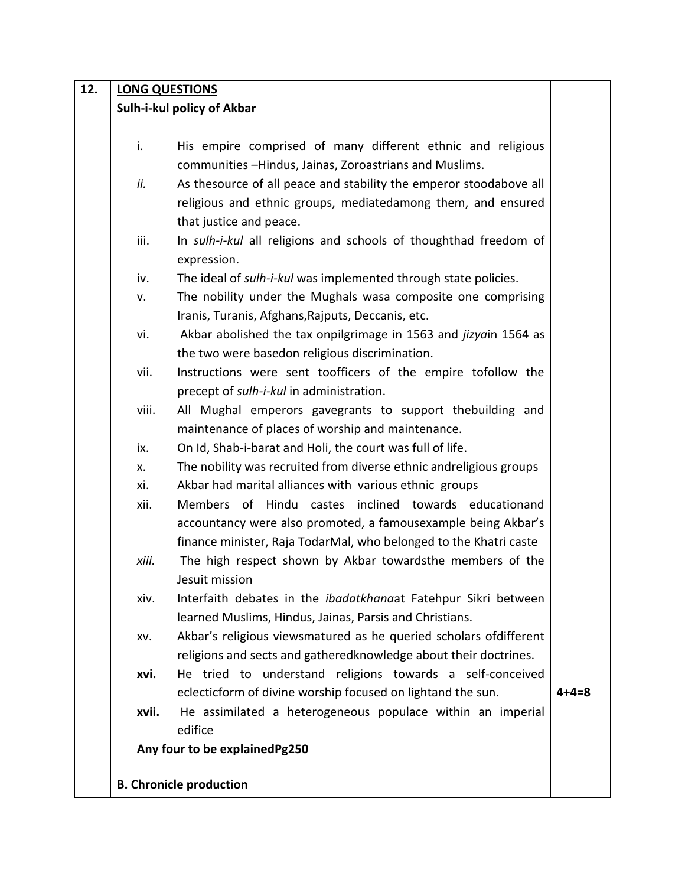| 12. | <b>LONG QUESTIONS</b> |                                                                       |             |
|-----|-----------------------|-----------------------------------------------------------------------|-------------|
|     |                       | Sulh-i-kul policy of Akbar                                            |             |
|     |                       |                                                                       |             |
|     | i.                    | His empire comprised of many different ethnic and religious           |             |
|     |                       | communities -Hindus, Jainas, Zoroastrians and Muslims.                |             |
|     | ii.                   | As thesource of all peace and stability the emperor stoodabove all    |             |
|     |                       | religious and ethnic groups, mediatedamong them, and ensured          |             |
|     |                       | that justice and peace.                                               |             |
|     | iii.                  | In sulh-i-kul all religions and schools of thoughthad freedom of      |             |
|     |                       | expression.                                                           |             |
|     | iv.                   | The ideal of sulh-i-kul was implemented through state policies.       |             |
|     | v.                    | The nobility under the Mughals wasa composite one comprising          |             |
|     |                       | Iranis, Turanis, Afghans, Rajputs, Deccanis, etc.                     |             |
|     | vi.                   | Akbar abolished the tax onpilgrimage in 1563 and jizyain 1564 as      |             |
|     |                       | the two were basedon religious discrimination.                        |             |
|     | vii.                  | Instructions were sent toofficers of the empire tofollow the          |             |
|     |                       | precept of sulh-i-kul in administration.                              |             |
|     | viii.                 | All Mughal emperors gavegrants to support thebuilding and             |             |
|     |                       | maintenance of places of worship and maintenance.                     |             |
|     | ix.                   | On Id, Shab-i-barat and Holi, the court was full of life.             |             |
|     | X.                    | The nobility was recruited from diverse ethnic andreligious groups    |             |
|     | xi.                   | Akbar had marital alliances with various ethnic groups                |             |
|     | xii.                  | Members of Hindu castes inclined towards educationand                 |             |
|     |                       | accountancy were also promoted, a famousexample being Akbar's         |             |
|     |                       | finance minister, Raja TodarMal, who belonged to the Khatri caste     |             |
|     | xiii.                 | The high respect shown by Akbar towardsthe members of the             |             |
|     |                       | lesuit mission.                                                       |             |
|     | xiv.                  | Interfaith debates in the <i>ibadatkhanaat</i> Fatehpur Sikri between |             |
|     |                       | learned Muslims, Hindus, Jainas, Parsis and Christians.               |             |
|     | XV.                   | Akbar's religious viewsmatured as he queried scholars ofdifferent     |             |
|     |                       | religions and sects and gatheredknowledge about their doctrines.      |             |
|     | xvi.                  | He tried to understand religions towards a self-conceived             |             |
|     |                       | eclecticform of divine worship focused on lightand the sun.           | $4 + 4 = 8$ |
|     | xvii.                 | He assimilated a heterogeneous populace within an imperial            |             |
|     |                       | edifice                                                               |             |
|     |                       | Any four to be explainedPg250                                         |             |
|     |                       | <b>B. Chronicle production</b>                                        |             |
|     |                       |                                                                       |             |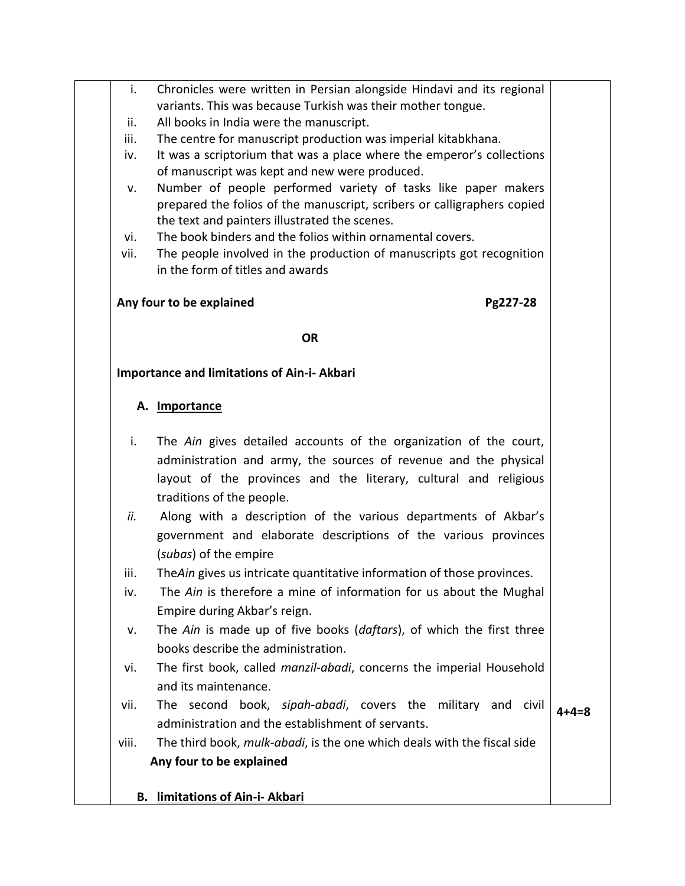| i.    | Chronicles were written in Persian alongside Hindavi and its regional<br>variants. This was because Turkish was their mother tongue.                                                      |       |
|-------|-------------------------------------------------------------------------------------------------------------------------------------------------------------------------------------------|-------|
| ii.   | All books in India were the manuscript.                                                                                                                                                   |       |
| iii.  | The centre for manuscript production was imperial kitabkhana.                                                                                                                             |       |
| iv.   | It was a scriptorium that was a place where the emperor's collections<br>of manuscript was kept and new were produced.                                                                    |       |
| v.    | Number of people performed variety of tasks like paper makers<br>prepared the folios of the manuscript, scribers or calligraphers copied<br>the text and painters illustrated the scenes. |       |
| vi.   | The book binders and the folios within ornamental covers.                                                                                                                                 |       |
| vii.  | The people involved in the production of manuscripts got recognition<br>in the form of titles and awards                                                                                  |       |
|       | Any four to be explained<br>Pg227-28                                                                                                                                                      |       |
|       | <b>OR</b>                                                                                                                                                                                 |       |
|       | <b>Importance and limitations of Ain-i- Akbari</b>                                                                                                                                        |       |
|       | A. Importance                                                                                                                                                                             |       |
| i.    | The Ain gives detailed accounts of the organization of the court,                                                                                                                         |       |
|       | administration and army, the sources of revenue and the physical                                                                                                                          |       |
|       | layout of the provinces and the literary, cultural and religious<br>traditions of the people.                                                                                             |       |
| ii.   | Along with a description of the various departments of Akbar's                                                                                                                            |       |
|       | government and elaborate descriptions of the various provinces                                                                                                                            |       |
|       | (subas) of the empire                                                                                                                                                                     |       |
| iii.  | The Ain gives us intricate quantitative information of those provinces.                                                                                                                   |       |
| iv.   | The Ain is therefore a mine of information for us about the Mughal                                                                                                                        |       |
|       | Empire during Akbar's reign.                                                                                                                                                              |       |
| v.    | The Ain is made up of five books (daftars), of which the first three                                                                                                                      |       |
|       | books describe the administration.                                                                                                                                                        |       |
| vi.   | The first book, called manzil-abadi, concerns the imperial Household                                                                                                                      |       |
|       | and its maintenance.                                                                                                                                                                      |       |
| vii.  | The second book, sipah-abadi, covers the military and civil                                                                                                                               | 4+4=8 |
|       | administration and the establishment of servants.                                                                                                                                         |       |
| viii. | The third book, mulk-abadi, is the one which deals with the fiscal side                                                                                                                   |       |
|       | Any four to be explained                                                                                                                                                                  |       |
|       |                                                                                                                                                                                           |       |

## **B. limitations of Ain-i- Akbari**

T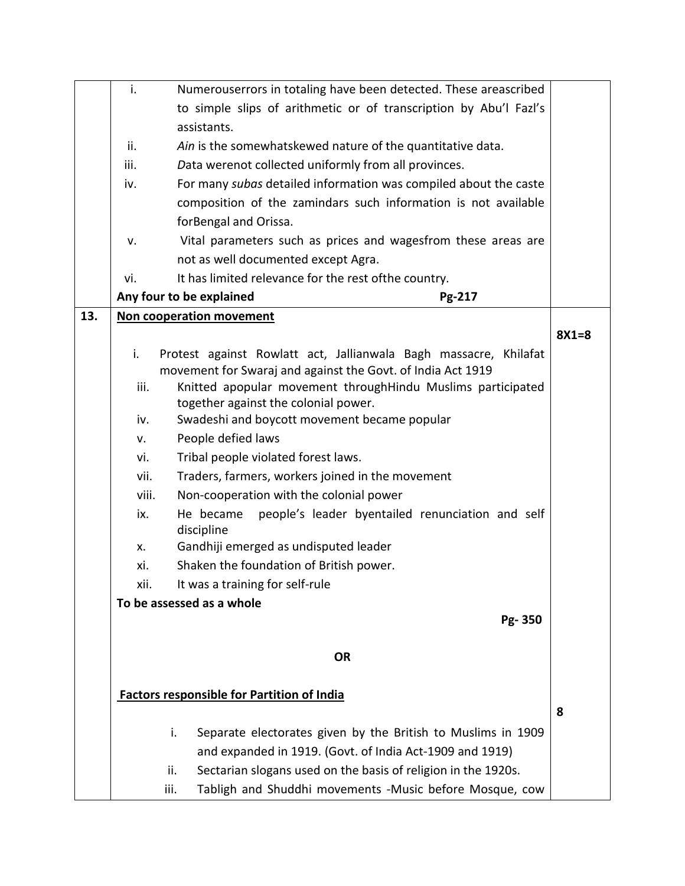|     | i.    | Numerouserrors in totaling have been detected. These areascribed            |         |
|-----|-------|-----------------------------------------------------------------------------|---------|
|     |       | to simple slips of arithmetic or of transcription by Abu'l Fazl's           |         |
|     |       | assistants.                                                                 |         |
|     | ii.   | Ain is the somewhatskewed nature of the quantitative data.                  |         |
|     | iii.  | Data werenot collected uniformly from all provinces.                        |         |
|     | iv.   | For many subas detailed information was compiled about the caste            |         |
|     |       | composition of the zamindars such information is not available              |         |
|     |       | forBengal and Orissa.                                                       |         |
|     | v.    | Vital parameters such as prices and wagesfrom these areas are               |         |
|     |       | not as well documented except Agra.                                         |         |
|     | vi.   | It has limited relevance for the rest ofthe country.                        |         |
|     |       | Any four to be explained<br>Pg-217                                          |         |
| 13. |       | Non cooperation movement                                                    |         |
|     |       |                                                                             | $8X1=8$ |
|     | i.    | Protest against Rowlatt act, Jallianwala Bagh massacre, Khilafat            |         |
|     |       | movement for Swaraj and against the Govt. of India Act 1919                 |         |
|     | iii.  | Knitted apopular movement throughHindu Muslims participated                 |         |
|     |       | together against the colonial power.                                        |         |
|     | iv.   | Swadeshi and boycott movement became popular<br>People defied laws          |         |
|     | v.    |                                                                             |         |
|     | vi.   | Tribal people violated forest laws.                                         |         |
|     | vii.  | Traders, farmers, workers joined in the movement                            |         |
|     | viii. | Non-cooperation with the colonial power                                     |         |
|     | ix.   | people's leader byentailed renunciation and self<br>He became<br>discipline |         |
|     | X.    | Gandhiji emerged as undisputed leader                                       |         |
|     | xi.   | Shaken the foundation of British power.                                     |         |
|     | xii.  | It was a training for self-rule                                             |         |
|     |       | To be assessed as a whole                                                   |         |
|     |       | Pg-350                                                                      |         |
|     |       |                                                                             |         |
|     |       | <b>OR</b>                                                                   |         |
|     |       |                                                                             |         |
|     |       | <b>Factors responsible for Partition of India</b>                           |         |
|     |       |                                                                             | 8       |
|     |       | Separate electorates given by the British to Muslims in 1909<br>i.          |         |
|     |       | and expanded in 1919. (Govt. of India Act-1909 and 1919)                    |         |
|     |       | Sectarian slogans used on the basis of religion in the 1920s.<br>ii.        |         |
|     |       | iii.<br>Tabligh and Shuddhi movements -Music before Mosque, cow             |         |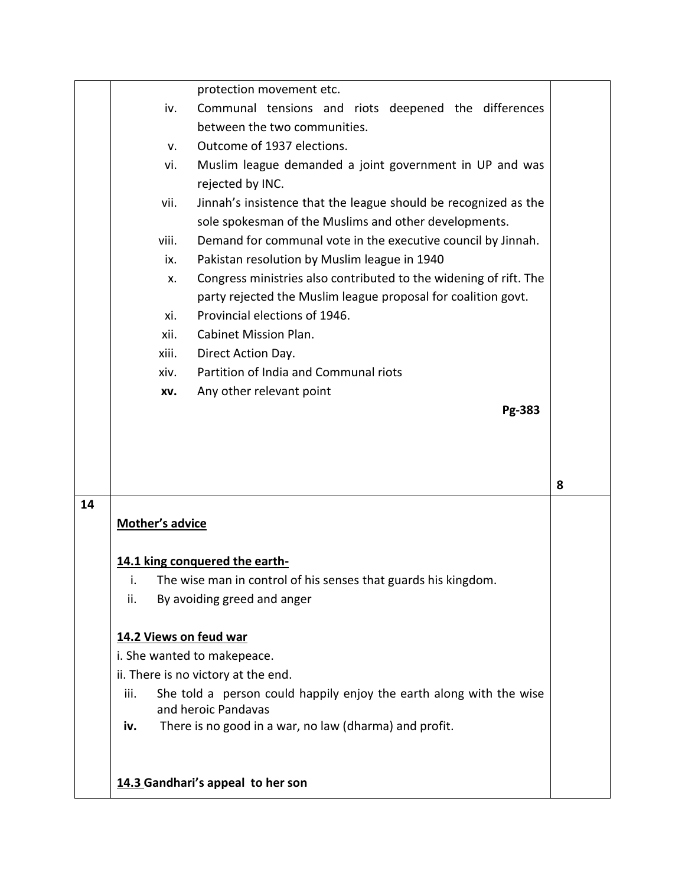|    |                        | protection movement etc.                                            |   |
|----|------------------------|---------------------------------------------------------------------|---|
|    | iv.                    | Communal tensions and riots deepened the differences                |   |
|    |                        | between the two communities.                                        |   |
|    | v.                     | Outcome of 1937 elections.                                          |   |
|    | vi.                    | Muslim league demanded a joint government in UP and was             |   |
|    |                        | rejected by INC.                                                    |   |
|    | vii.                   | Jinnah's insistence that the league should be recognized as the     |   |
|    |                        | sole spokesman of the Muslims and other developments.               |   |
|    | viii.                  | Demand for communal vote in the executive council by Jinnah.        |   |
|    | ix.                    | Pakistan resolution by Muslim league in 1940                        |   |
|    | Х.                     | Congress ministries also contributed to the widening of rift. The   |   |
|    |                        | party rejected the Muslim league proposal for coalition govt.       |   |
|    | xi.                    | Provincial elections of 1946.                                       |   |
|    | xii.                   | <b>Cabinet Mission Plan.</b>                                        |   |
|    | xiii.                  | Direct Action Day.                                                  |   |
|    | xiv.                   | Partition of India and Communal riots                               |   |
|    | XV.                    | Any other relevant point                                            |   |
|    |                        | Pg-383                                                              |   |
|    |                        |                                                                     |   |
|    |                        |                                                                     |   |
|    |                        |                                                                     | 8 |
| 14 |                        |                                                                     |   |
|    | <b>Mother's advice</b> |                                                                     |   |
|    |                        |                                                                     |   |
|    |                        | 14.1 king conquered the earth-                                      |   |
|    | ι.                     | The wise man in control of his senses that guards his kingdom.      |   |
|    | ii.                    | By avoiding greed and anger                                         |   |
|    |                        |                                                                     |   |
|    | 14.2 Views on feud war |                                                                     |   |
|    |                        | i. She wanted to makepeace.                                         |   |
|    |                        | ii. There is no victory at the end.                                 |   |
|    | iii.                   | She told a person could happily enjoy the earth along with the wise |   |
|    |                        | and heroic Pandavas                                                 |   |
|    | iv.                    | There is no good in a war, no law (dharma) and profit.              |   |
|    |                        |                                                                     |   |
|    |                        |                                                                     |   |
|    |                        | 14.3 Gandhari's appeal to her son                                   |   |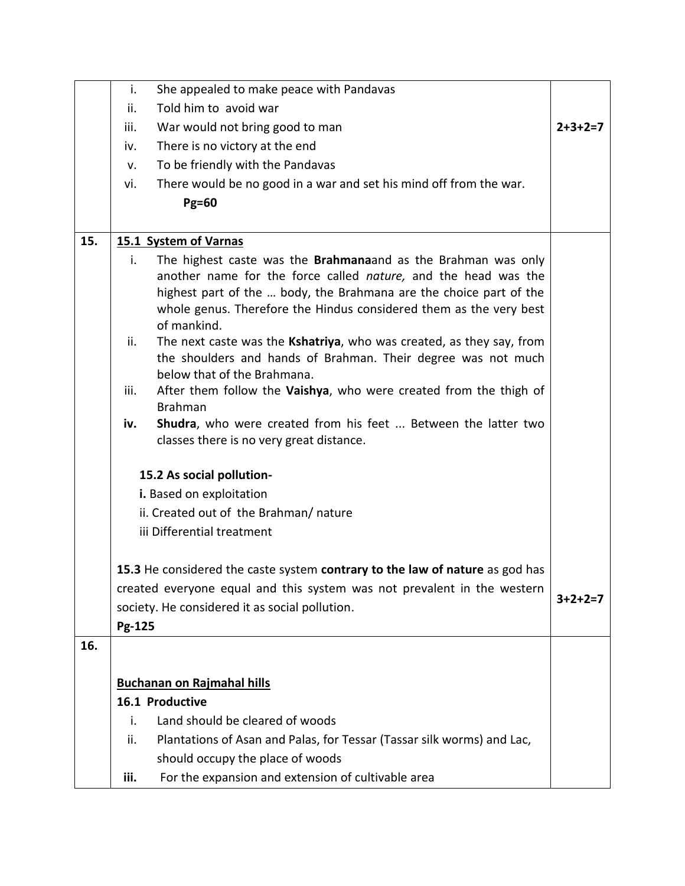|     | i.     | She appealed to make peace with Pandavas                                                                                                                                                                                                                                            |           |
|-----|--------|-------------------------------------------------------------------------------------------------------------------------------------------------------------------------------------------------------------------------------------------------------------------------------------|-----------|
|     | ii.    | Told him to avoid war                                                                                                                                                                                                                                                               |           |
|     | iii.   | War would not bring good to man                                                                                                                                                                                                                                                     | $2+3+2=7$ |
|     | iv.    | There is no victory at the end                                                                                                                                                                                                                                                      |           |
|     | v.     | To be friendly with the Pandavas                                                                                                                                                                                                                                                    |           |
|     | vi.    | There would be no good in a war and set his mind off from the war.                                                                                                                                                                                                                  |           |
|     |        | <b>Pg=60</b>                                                                                                                                                                                                                                                                        |           |
|     |        |                                                                                                                                                                                                                                                                                     |           |
| 15. |        | 15.1 System of Varnas                                                                                                                                                                                                                                                               |           |
|     | i.     | The highest caste was the <b>Brahmana</b> and as the Brahman was only<br>another name for the force called nature, and the head was the<br>highest part of the  body, the Brahmana are the choice part of the<br>whole genus. Therefore the Hindus considered them as the very best |           |
|     |        | of mankind.                                                                                                                                                                                                                                                                         |           |
|     | ii.    | The next caste was the Kshatriya, who was created, as they say, from<br>the shoulders and hands of Brahman. Their degree was not much<br>below that of the Brahmana.                                                                                                                |           |
|     | iii.   | After them follow the Vaishya, who were created from the thigh of                                                                                                                                                                                                                   |           |
|     |        | <b>Brahman</b>                                                                                                                                                                                                                                                                      |           |
|     | iv.    | Shudra, who were created from his feet  Between the latter two<br>classes there is no very great distance.                                                                                                                                                                          |           |
|     |        | 15.2 As social pollution-                                                                                                                                                                                                                                                           |           |
|     |        | i. Based on exploitation                                                                                                                                                                                                                                                            |           |
|     |        | ii. Created out of the Brahman/nature                                                                                                                                                                                                                                               |           |
|     |        | iii Differential treatment                                                                                                                                                                                                                                                          |           |
|     |        |                                                                                                                                                                                                                                                                                     |           |
|     |        | 15.3 He considered the caste system contrary to the law of nature as god has                                                                                                                                                                                                        |           |
|     |        | created everyone equal and this system was not prevalent in the western                                                                                                                                                                                                             |           |
|     |        | society. He considered it as social pollution.                                                                                                                                                                                                                                      | $3+2+2=7$ |
|     | Pg-125 |                                                                                                                                                                                                                                                                                     |           |
| 16. |        |                                                                                                                                                                                                                                                                                     |           |
|     |        |                                                                                                                                                                                                                                                                                     |           |
|     |        | <b>Buchanan on Rajmahal hills</b>                                                                                                                                                                                                                                                   |           |
|     |        | 16.1 Productive                                                                                                                                                                                                                                                                     |           |
|     | i.     | Land should be cleared of woods                                                                                                                                                                                                                                                     |           |
|     | ii.    | Plantations of Asan and Palas, for Tessar (Tassar silk worms) and Lac,                                                                                                                                                                                                              |           |
|     |        | should occupy the place of woods                                                                                                                                                                                                                                                    |           |
|     | iii.   | For the expansion and extension of cultivable area                                                                                                                                                                                                                                  |           |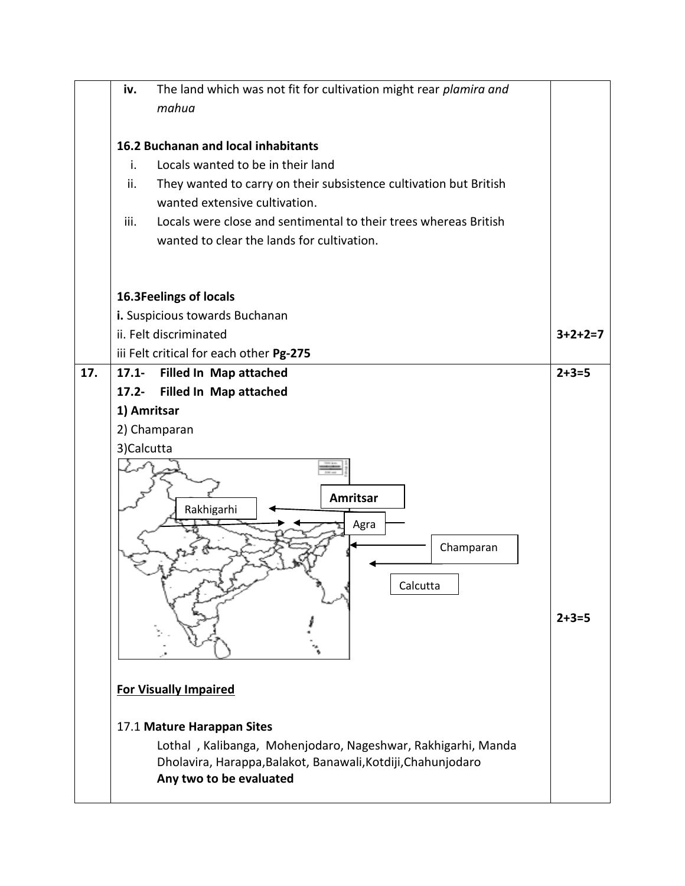